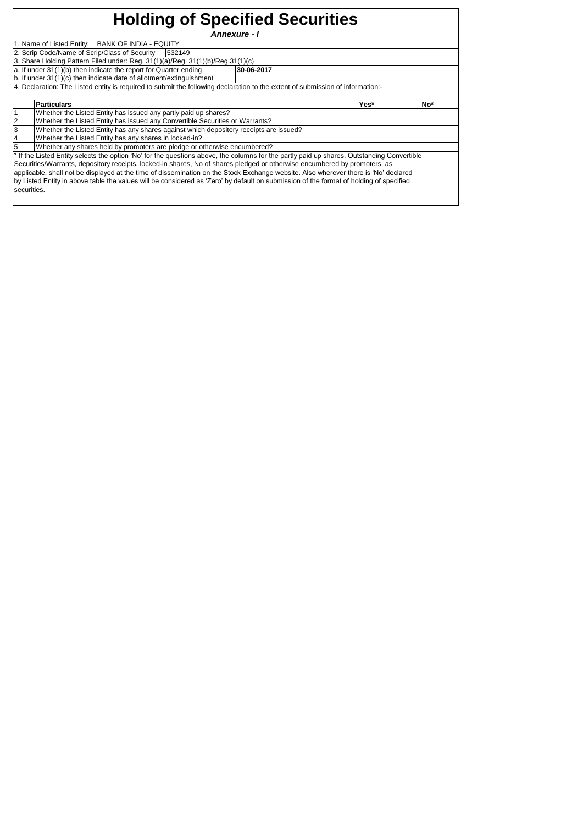|                | <b>Annexure - I</b>                                                                                                                        |            |     |
|----------------|--------------------------------------------------------------------------------------------------------------------------------------------|------------|-----|
|                | 1. Name of Listed Entity:   BANK OF INDIA - EQUITY                                                                                         |            |     |
|                | 2. Scrip Code/Name of Scrip/Class of Security<br>1532149                                                                                   |            |     |
|                | 3. Share Holding Pattern Filed under: Reg. 31(1)(a)/Reg. 31(1)(b)/Reg.31(1)(c)                                                             |            |     |
|                | a. If under 31(1)(b) then indicate the report for Quarter ending                                                                           | 30-06-2017 |     |
|                | b. If under 31(1)(c) then indicate date of allotment/extinguishment                                                                        |            |     |
|                | 4. Declaration: The Listed entity is required to submit the following declaration to the extent of submission of information:-             |            |     |
|                |                                                                                                                                            |            |     |
|                | <b>Particulars</b>                                                                                                                         | Yes*       | No* |
|                | Whether the Listed Entity has issued any partly paid up shares?                                                                            |            |     |
| $\overline{2}$ | Whether the Listed Entity has issued any Convertible Securities or Warrants?                                                               |            |     |
| 3              | Whether the Listed Entity has any shares against which depository receipts are issued?                                                     |            |     |
| 4              | Whether the Listed Entity has any shares in locked-in?                                                                                     |            |     |
| 5              | Whether any shares held by promoters are pledge or otherwise encumbered?                                                                   |            |     |
|                | * If the Listed Entity selects the option 'No' for the questions above, the columns for the partly paid up shares, Outstanding Convertible |            |     |
|                | Securities/Warrants, depository receipts, locked-in shares, No of shares pledged or otherwise encumbered by promoters, as                  |            |     |
|                |                                                                                                                                            |            |     |
|                | applicable, shall not be displayed at the time of dissemination on the Stock Exchange website. Also wherever there is 'No' declared        |            |     |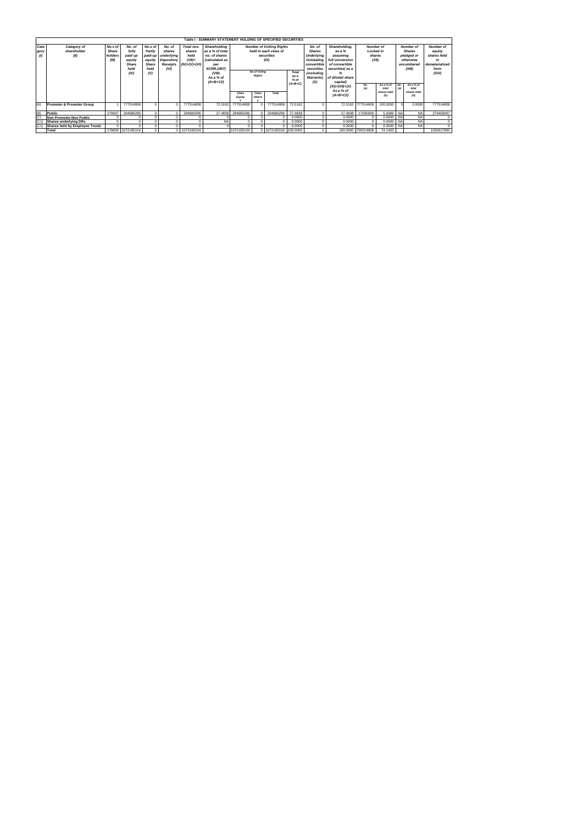|                    |                                       |         |                   |              |            |                 | Table I - SUMMARY STATEMENT HOLDING OF SPECIFIED SECURITIES |                                      |                       |                                 |                |                   |                                   |                    |             |                  |             |                  |
|--------------------|---------------------------------------|---------|-------------------|--------------|------------|-----------------|-------------------------------------------------------------|--------------------------------------|-----------------------|---------------------------------|----------------|-------------------|-----------------------------------|--------------------|-------------|------------------|-------------|------------------|
| Cate               | Category of                           | No.s of | No. of            | No.s of      | No. of     | Total nos.      | Shareholding                                                |                                      |                       | <b>Number of Votting Rights</b> |                | No. of            | Shareholding.<br><b>Number of</b> |                    |             | <b>Number of</b> |             | <b>Number of</b> |
| gory               | shareholder                           | Share   | fully             | Partly       | shares     | shares          | as a % of total                                             |                                      |                       | held in each class of           |                | <b>Shares</b>     | as a %                            | Locked in          |             | Shares           |             | equity           |
| $\left( 0 \right)$ | (II)                                  | holders | paid up           | paid-up      | underlying | held            | no. of shares                                               |                                      |                       | securities                      |                | <b>Underlying</b> | assuming                          | shares             |             | pledged or       |             | shares held      |
|                    |                                       | (III)   | equity            | equity       | Depository | $(VII)$ =       | (calculated as                                              |                                      |                       | (IX)                            |                | Outstating        | full conversion                   | (XII)              |             | otherwise        |             | in               |
|                    |                                       |         | <b>Share</b>      | <b>Share</b> | Receipts   | $(IV)+(V)+(VI)$ | per                                                         |                                      |                       |                                 |                | convertible       | of convertible                    |                    |             |                  | encumbered  | dematerialized   |
|                    |                                       |         | held              | held         | (VI)       |                 | <b>SCRR, 1957)</b>                                          |                                      |                       |                                 |                | securities        | securities as a                   |                    |             |                  | (XIII)      | form             |
|                    |                                       |         | (IV)              | (V)          |            |                 | (VIII)                                                      | <b>No of Voting</b><br><b>Rights</b> |                       |                                 | <b>Total</b>   | (includina        |                                   |                    |             |                  |             | (XIV)            |
|                    |                                       |         |                   |              |            |                 | As a % of                                                   |                                      |                       |                                 | as a<br>$%$ of | <b>Warrants</b> ) | of diluted share                  |                    |             |                  |             |                  |
|                    |                                       |         |                   |              |            |                 | $(A+B+C2)$                                                  |                                      |                       |                                 |                | (X)               | capital)                          | No.                | As a % of   | No.              | As a % of   |                  |
|                    |                                       |         |                   |              |            |                 |                                                             |                                      |                       |                                 | $(A+B+C)$      |                   | $(XI) = (VII) + (X)$              | (a)                | total       | (a)              | total       |                  |
|                    |                                       |         |                   |              |            |                 |                                                             | Class                                | Class<br><b>Total</b> |                                 |                |                   | As a % of                         |                    | shares held |                  | shares held |                  |
|                    |                                       |         |                   |              |            |                 |                                                             | Equity                               | <b>Others</b>         |                                 |                |                   | $(A+B+C2)$                        |                    |             |                  | (b)         |                  |
|                    |                                       |         |                   |              |            |                 |                                                             |                                      |                       |                                 |                |                   |                                   |                    |             |                  |             |                  |
| (A)                | <b>Promoter &amp; Promoter Group</b>  |         | 777514808         |              | $\Omega$   | 777514808       | 72.5162                                                     | 777514808                            |                       | 777514808                       | 72.5162        |                   |                                   | 72.5162 777514808  | 100.0000    |                  | 0.0000      | 777514808        |
|                    |                                       |         |                   |              |            |                 |                                                             |                                      |                       |                                 |                |                   |                                   |                    |             |                  |             |                  |
| (B)                | Public                                | 279837  | 294680296         |              |            | 294680296       | 27.4838                                                     | 294680296                            |                       | 294680296                       | 27.4838        |                   | 27.4838                           | 17500000           | 5.9386 NA   |                  | <b>NA</b>   | 279403087        |
|                    | Non Promoter-Non Public               |         |                   |              |            |                 |                                                             |                                      |                       |                                 | 0.0000         |                   | 0.0000                            | $\Omega$           | 0.0000 NA   |                  | <b>NA</b>   |                  |
|                    | <b>Shares underlying DRs</b>          |         |                   |              |            |                 | <b>NA</b>                                                   |                                      |                       |                                 | 0.0000         |                   | 0.0000                            | $\mathbf 0$        | 0.0000 NA   |                  | <b>NA</b>   |                  |
| (C2)               | <b>Shares held by Employee Trusts</b> |         |                   |              | $\Omega$   |                 |                                                             |                                      |                       |                                 | 0.0000         |                   | 0.0000                            | $\Omega$           | 0.0000 NA   |                  | <b>NA</b>   |                  |
|                    | Total                                 |         | 279838 1072195104 |              |            | 0 1072195104    |                                                             | 1072195104                           |                       | 0 1072195104 100,0000           |                |                   |                                   | 100.0000 795014808 | 74.1483     |                  |             | 1056917895       |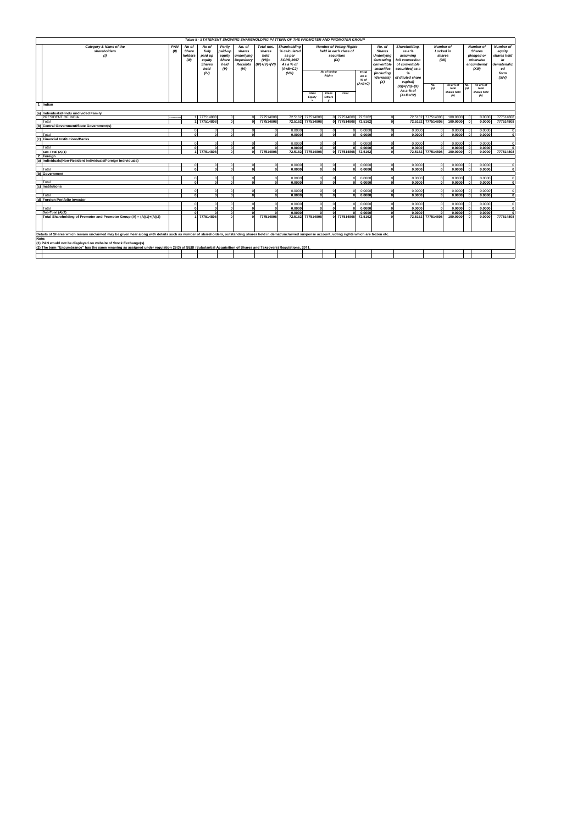|                                  | Table II - STATEMENT SHOWING SHAREHOLDING PATTERN OF THE PROMOTER AND PROMOTER GROUP                                                                                                                           |             |                                           |                                                       |                                                     |                                                                  |                                                             |                                                                                               |                      |                                                                                                                                                                             |           |                                      |                                                                                                |                                                                                             |                                                         |                                          |                                                        |                                                                                      |                                                                       |
|----------------------------------|----------------------------------------------------------------------------------------------------------------------------------------------------------------------------------------------------------------|-------------|-------------------------------------------|-------------------------------------------------------|-----------------------------------------------------|------------------------------------------------------------------|-------------------------------------------------------------|-----------------------------------------------------------------------------------------------|----------------------|-----------------------------------------------------------------------------------------------------------------------------------------------------------------------------|-----------|--------------------------------------|------------------------------------------------------------------------------------------------|---------------------------------------------------------------------------------------------|---------------------------------------------------------|------------------------------------------|--------------------------------------------------------|--------------------------------------------------------------------------------------|-----------------------------------------------------------------------|
|                                  |                                                                                                                                                                                                                |             |                                           |                                                       |                                                     |                                                                  |                                                             |                                                                                               |                      |                                                                                                                                                                             |           |                                      |                                                                                                |                                                                                             |                                                         |                                          |                                                        |                                                                                      |                                                                       |
|                                  | Category & Name of the<br>shareholders<br>$\omega$                                                                                                                                                             | PAN<br>(II) | No of<br><b>Share</b><br>holders<br>(III) | No of<br>fully<br>paid up<br>equity<br>Shares<br>held | Partly<br>paid-up<br>equity<br>Share<br>held<br>(V) | No. of<br>shares<br>underlying<br>Depository<br>Receipts<br>(VI) | Total nos.<br>shares<br>held<br>$(VII)=$<br>$(IV)+(V)+(VI)$ | <b>Shareholding</b><br>% calculated<br>as per<br><b>SCRR, 1957</b><br>As a % of<br>$(A+B+C2)$ |                      | <b>Number of Voting Rights</b><br>held in each class of<br>securities<br>(IX)<br><b>No of Voting</b><br><b>Rights</b><br>Class<br>Class<br>Total<br>Equity<br><b>Others</b> |           |                                      | No. of<br><b>Shares</b><br><b>Underlying</b><br><b>Outstating</b><br>convertible<br>securities | Shareholding,<br>as a %<br>assuming<br>full conversion<br>of convertible<br>securities(as a | <b>Number of</b><br><b>Locked</b> in<br>shares<br>(XII) |                                          |                                                        | <b>Number of</b><br><b>Shares</b><br>pledged or<br>otherwise<br>encumbered<br>(XIII) | <b>Number of</b><br>equity<br>shares held<br>in<br>dematerializ<br>ed |
|                                  |                                                                                                                                                                                                                |             |                                           | (IV)                                                  |                                                     |                                                                  |                                                             | (VIII)                                                                                        |                      |                                                                                                                                                                             |           | Total<br>as a<br>$%$ of<br>$(A+B+C)$ | (including<br><b>Warrants)</b><br>(X)                                                          | of diluted share<br>capital)<br>$(XI) = (VII) + (X)$<br>As a % of<br>$(A+B+C2)$             | No.<br>(a)                                              | As a % of<br>total<br>shares held<br>(b) | No.<br>As a % of<br>(a)<br>total<br>shares held<br>(b) |                                                                                      | form<br>(XIV)                                                         |
|                                  | 1 Indian                                                                                                                                                                                                       |             |                                           |                                                       |                                                     |                                                                  |                                                             |                                                                                               |                      |                                                                                                                                                                             |           |                                      |                                                                                                |                                                                                             |                                                         |                                          |                                                        |                                                                                      |                                                                       |
|                                  |                                                                                                                                                                                                                |             |                                           |                                                       |                                                     |                                                                  |                                                             |                                                                                               |                      |                                                                                                                                                                             |           |                                      |                                                                                                |                                                                                             |                                                         |                                          |                                                        |                                                                                      |                                                                       |
|                                  | (a) Individuals/Hindu undivided Family<br>PRESIDENT OF INDIA                                                                                                                                                   |             |                                           | 777514808                                             |                                                     |                                                                  | 777514808                                                   | 72.5162                                                                                       | 777514808            |                                                                                                                                                                             | 777514808 | 72.5162                              | $\Omega$                                                                                       |                                                                                             | 72.5162 777514808                                       | 100,0000                                 |                                                        | 0.000                                                                                | 777514808                                                             |
|                                  | Total                                                                                                                                                                                                          |             |                                           | 777514808                                             |                                                     |                                                                  | 777514808                                                   |                                                                                               | 72.5162 777514808    |                                                                                                                                                                             | 777514808 | 72.5162                              | $\mathbf{0}$                                                                                   |                                                                                             | 72.5162 777514808                                       | 100.0000                                 | $\Omega$                                               | 0.0000                                                                               | 777514808                                                             |
|                                  | (b) Central Government/State Government(s)                                                                                                                                                                     |             |                                           |                                                       |                                                     |                                                                  |                                                             |                                                                                               |                      |                                                                                                                                                                             |           |                                      |                                                                                                |                                                                                             |                                                         |                                          |                                                        |                                                                                      |                                                                       |
|                                  |                                                                                                                                                                                                                |             |                                           | $\Omega$                                              |                                                     |                                                                  | $\Omega$                                                    | 0.0000                                                                                        | $\Omega$             |                                                                                                                                                                             | $\Omega$  | 0.0000                               | $\Omega$                                                                                       | 0.0000                                                                                      | $\Omega$                                                | 0.0000                                   | $\Omega$                                               | 0.0000                                                                               |                                                                       |
|                                  | Total                                                                                                                                                                                                          |             |                                           | $\mathbf{r}$                                          |                                                     |                                                                  |                                                             | 0.0000                                                                                        |                      |                                                                                                                                                                             | $\Omega$  | 0.0000                               | $\mathbf{r}$                                                                                   | 0.0000                                                                                      | 0.                                                      | 0.0000                                   |                                                        | 0.0000                                                                               | $\Omega$                                                              |
| (c) Financial Institutions/Banks |                                                                                                                                                                                                                |             |                                           |                                                       |                                                     |                                                                  |                                                             |                                                                                               |                      |                                                                                                                                                                             |           |                                      |                                                                                                |                                                                                             |                                                         |                                          |                                                        |                                                                                      |                                                                       |
|                                  |                                                                                                                                                                                                                |             |                                           |                                                       |                                                     |                                                                  |                                                             | 0.0000                                                                                        |                      |                                                                                                                                                                             |           | 0.0000                               |                                                                                                | 0.0000                                                                                      |                                                         | 0.000                                    |                                                        | 0.0000                                                                               |                                                                       |
|                                  | Total                                                                                                                                                                                                          |             |                                           |                                                       |                                                     |                                                                  |                                                             | 0.0000                                                                                        |                      |                                                                                                                                                                             |           | 0.0000                               |                                                                                                | 0.0000                                                                                      |                                                         | 0.0000                                   |                                                        | 0.0000                                                                               |                                                                       |
|                                  | Sub-Total (A)(1)                                                                                                                                                                                               |             |                                           | 777514808                                             |                                                     |                                                                  | 777514808                                                   |                                                                                               | 72.5162 777514808    |                                                                                                                                                                             | 777514808 | 72.5162                              |                                                                                                |                                                                                             | 72.5162 777514808                                       | 100.0000                                 |                                                        | 0.0000                                                                               | 777514808                                                             |
|                                  | 2 Foreian                                                                                                                                                                                                      |             |                                           |                                                       |                                                     |                                                                  |                                                             |                                                                                               |                      |                                                                                                                                                                             |           |                                      |                                                                                                |                                                                                             |                                                         |                                          |                                                        |                                                                                      |                                                                       |
|                                  | (a) Individuals (Non-Resident Individuals/Foreign Individuals)                                                                                                                                                 |             |                                           |                                                       |                                                     |                                                                  |                                                             |                                                                                               |                      |                                                                                                                                                                             |           |                                      |                                                                                                |                                                                                             |                                                         |                                          |                                                        |                                                                                      |                                                                       |
|                                  |                                                                                                                                                                                                                |             | $\overline{0}$                            | $\circ$                                               | $\Omega$                                            | $\Omega$                                                         | $\circ$                                                     | 0.0000                                                                                        | $\circ$              | $\Omega$                                                                                                                                                                    | $\Omega$  | 0.0000                               | $\Omega$                                                                                       | 0.0000                                                                                      | $\Omega$                                                | 0.0000                                   |                                                        | 0.0000                                                                               | $\Omega$                                                              |
|                                  | Total                                                                                                                                                                                                          |             | $\mathbf{0}$                              | $\Omega$                                              |                                                     | $\sqrt{2}$                                                       | $\Omega$                                                    | 0.0000                                                                                        | $\mathbf{0}$         | $\Omega$                                                                                                                                                                    | n         | 0.0000                               | $\mathbf{0}$                                                                                   | 0.0000                                                                                      | $\Omega$                                                | 0.0000                                   | - C                                                    | 0.0000                                                                               | $\bf{0}$                                                              |
|                                  | (b) Government                                                                                                                                                                                                 |             |                                           |                                                       |                                                     |                                                                  |                                                             |                                                                                               |                      |                                                                                                                                                                             |           |                                      |                                                                                                |                                                                                             |                                                         |                                          |                                                        |                                                                                      |                                                                       |
|                                  |                                                                                                                                                                                                                |             | $\Omega$                                  | $\Omega$<br>$\Omega$                                  |                                                     |                                                                  |                                                             | 0.0000                                                                                        | $\Omega$<br>$\Omega$ |                                                                                                                                                                             |           | 0.0000                               | $\Omega$                                                                                       | 0.0000                                                                                      | $\Omega$<br>0.                                          | 0.0000                                   |                                                        | 0.0000                                                                               |                                                                       |
|                                  | Total                                                                                                                                                                                                          |             |                                           |                                                       |                                                     |                                                                  |                                                             | 0.0000                                                                                        |                      |                                                                                                                                                                             |           | 0.0000                               | $\Omega$                                                                                       | 0.0000                                                                                      |                                                         | 0.0000                                   |                                                        | 0.0000                                                                               | $\Omega$                                                              |
|                                  | (c) Institutions                                                                                                                                                                                               |             | $\Omega$                                  | $\Omega$                                              |                                                     |                                                                  |                                                             | 0.0000                                                                                        | $\Omega$             |                                                                                                                                                                             | $\Omega$  | 0.0000                               | $\Omega$                                                                                       | 0.0000                                                                                      | $\Omega$                                                | 0.0000                                   |                                                        | 0.0000                                                                               | $\Omega$                                                              |
|                                  | Total                                                                                                                                                                                                          |             |                                           | $\mathbf{r}$                                          |                                                     |                                                                  |                                                             | 0.0000                                                                                        |                      |                                                                                                                                                                             | n         | 0.0000                               | $\Omega$                                                                                       | 0.0000                                                                                      | ΩL                                                      | 0.0000                                   |                                                        | 0.0000                                                                               | $\sqrt{2}$                                                            |
|                                  | (d) Foreign Portfolio Investor                                                                                                                                                                                 |             |                                           |                                                       |                                                     |                                                                  |                                                             |                                                                                               |                      |                                                                                                                                                                             |           |                                      |                                                                                                |                                                                                             |                                                         |                                          |                                                        |                                                                                      |                                                                       |
|                                  |                                                                                                                                                                                                                |             |                                           | $\Omega$                                              |                                                     |                                                                  |                                                             | 0.0000                                                                                        |                      |                                                                                                                                                                             |           | 0.0000                               |                                                                                                | 0.0000                                                                                      | $\Omega$                                                | 0.0000                                   |                                                        | 0.0000                                                                               |                                                                       |
|                                  | Total                                                                                                                                                                                                          |             |                                           |                                                       |                                                     |                                                                  |                                                             | 0.0000                                                                                        |                      |                                                                                                                                                                             |           | 0.0000                               |                                                                                                | 0.0000                                                                                      |                                                         | 0.0000                                   |                                                        | 0.0000                                                                               |                                                                       |
|                                  | Sub-Total (A)(2)                                                                                                                                                                                               |             |                                           |                                                       |                                                     |                                                                  |                                                             | 0.0000                                                                                        |                      |                                                                                                                                                                             |           | 0.0000                               |                                                                                                | 0.0000                                                                                      |                                                         | 0.0000                                   |                                                        | 0.0000                                                                               |                                                                       |
|                                  | Total Shareholding of Promoter and Promoter Group (A) = (A)(1)+(A)(2)                                                                                                                                          |             |                                           | 777514808                                             |                                                     |                                                                  | 777514808                                                   |                                                                                               | 72.5162 777514808    |                                                                                                                                                                             | 777514808 | 72.5162                              |                                                                                                |                                                                                             | 72.5162 777514808                                       | 100.0000                                 |                                                        | 0.0000                                                                               | 777514808                                                             |
|                                  | Details of Shares which remain unclaimed may be given hear along with details such as number of shareholders, outstanding shares held in demat/unclaimed suspense account, voting rights which are frozen etc. |             |                                           |                                                       |                                                     |                                                                  |                                                             |                                                                                               |                      |                                                                                                                                                                             |           |                                      |                                                                                                |                                                                                             |                                                         |                                          |                                                        |                                                                                      |                                                                       |
|                                  | Note:<br>(1) PAN would not be displayed on website of Stock Exchange(s).                                                                                                                                       |             |                                           |                                                       |                                                     |                                                                  |                                                             |                                                                                               |                      |                                                                                                                                                                             |           |                                      |                                                                                                |                                                                                             |                                                         |                                          |                                                        |                                                                                      |                                                                       |
|                                  | (2) The term "Encumbrance" has the same meaning as assigned under regulation 28(3) of SEBI (Substantial Acquisition of Shares and Takeovers) Regulations. 2011.                                                |             |                                           |                                                       |                                                     |                                                                  |                                                             |                                                                                               |                      |                                                                                                                                                                             |           |                                      |                                                                                                |                                                                                             |                                                         |                                          |                                                        |                                                                                      |                                                                       |
|                                  |                                                                                                                                                                                                                |             |                                           |                                                       |                                                     |                                                                  |                                                             |                                                                                               |                      |                                                                                                                                                                             |           |                                      |                                                                                                |                                                                                             |                                                         |                                          |                                                        |                                                                                      |                                                                       |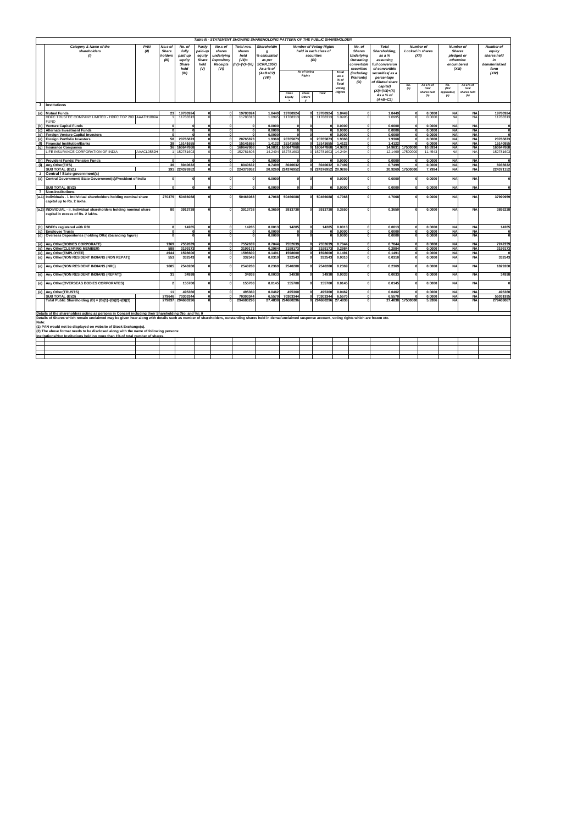|                | Table III - STATEMENT SHOWING SHAREHOLDING PATTERN OF THE PUBLIC SHAREHOLDER                                                                                                                                   |            |                                      |                                                               |                                                            |                                                                          |                                                              |                                                                                                       |                      |                                      |                                                                               |                                          |                                                                                                                                  |                                                                                                                           |            |                                                      |                                         |                                                                                      |                                                                                    |
|----------------|----------------------------------------------------------------------------------------------------------------------------------------------------------------------------------------------------------------|------------|--------------------------------------|---------------------------------------------------------------|------------------------------------------------------------|--------------------------------------------------------------------------|--------------------------------------------------------------|-------------------------------------------------------------------------------------------------------|----------------------|--------------------------------------|-------------------------------------------------------------------------------|------------------------------------------|----------------------------------------------------------------------------------------------------------------------------------|---------------------------------------------------------------------------------------------------------------------------|------------|------------------------------------------------------|-----------------------------------------|--------------------------------------------------------------------------------------|------------------------------------------------------------------------------------|
|                | Category & Name of the<br>PAN<br>(II)<br>shareholders<br>(1)                                                                                                                                                   |            | No.s of<br>Share<br>holders<br>(III) | No. of<br>fully<br>paid up<br>equity<br>Share<br>held<br>(IV) | Partly<br>paid-up<br>equity<br><b>Share</b><br>held<br>(V) | No.s of<br>shares<br>underlying<br>Depository<br><b>Receipts</b><br>(VI) | Total nos.<br>shares<br>held<br>$(VII)$ =<br>$(IV)+(V)+(VI)$ | Shareholdin<br>a<br>% calculated<br>as per<br><b>SCRR, 1957)</b><br>As a % of<br>$(A+B+C2)$<br>(VIII) |                      | <b>No of Voting</b><br><b>Rights</b> | <b>Number of Voting Rights</b><br>held in each class of<br>securities<br>(IX) | <b>Total</b><br>as a                     | No. of<br><b>Shares</b><br><b>Underlying</b><br><b>Outstating</b><br>convertible<br>securities<br>(including<br><b>Warrants)</b> | <b>Total</b><br>Shareholding,<br>as a %<br>assuming<br>full conversion<br>of convertible<br>securities(as a<br>percentage |            | <b>Number of</b><br><b>Locked in shares</b><br>(XII) |                                         | <b>Number of</b><br><b>Shares</b><br>pledged or<br>otherwise<br>encumbered<br>(XIII) | <b>Number of</b><br>equity<br>shares held<br>in<br>dematerialized<br>form<br>(XIV) |
|                |                                                                                                                                                                                                                |            |                                      |                                                               |                                                            |                                                                          |                                                              |                                                                                                       | Class<br>Eauity      | Class<br>Others                      | <b>Total</b>                                                                  | % of<br><b>Total</b><br>Voting<br>Rights | (X)                                                                                                                              | of diluted share<br>capital)<br>$(XI) = (VII) + (X)$<br>As a % of<br>$(A+B+C2)$                                           | No.<br>(a) | As a % of<br>total<br>shares held<br>(b)             | <b>No</b><br>(Not<br>applicable)<br>(a) | As a % of<br>total<br>shares held<br>(b)                                             |                                                                                    |
|                | 1 Institutions                                                                                                                                                                                                 |            |                                      |                                                               |                                                            |                                                                          |                                                              |                                                                                                       |                      |                                      |                                                                               |                                          |                                                                                                                                  |                                                                                                                           |            |                                                      |                                         |                                                                                      |                                                                                    |
|                | (a) Mutual Funds                                                                                                                                                                                               |            | っっ                                   | 19780924                                                      |                                                            |                                                                          | 19780924                                                     | 1.8449                                                                                                | 19780924             |                                      | 19780924                                                                      | 1.8449                                   |                                                                                                                                  | 1.8449                                                                                                                    |            | 0.0000                                               | <b>NA</b>                               | <b>NA</b>                                                                            | 19780924                                                                           |
|                | HDFC TRUSTEE COMPANY LIMITED - HDFC TOP 200 AAATH1809A<br><b>FUND</b>                                                                                                                                          |            |                                      | 11788313                                                      |                                                            |                                                                          | 11788313                                                     | 1.0995                                                                                                | 11788313             |                                      | 1178831                                                                       | 1.0995                                   |                                                                                                                                  | 1.0995                                                                                                                    |            | 0.0000                                               | <b>NA</b>                               | <b>NA</b>                                                                            | 11788313                                                                           |
|                | (b) Venture Capital Funds                                                                                                                                                                                      |            |                                      |                                                               |                                                            |                                                                          |                                                              | 0.0000                                                                                                |                      |                                      | $\Omega$                                                                      | 0.0000                                   | O                                                                                                                                | 0.0000                                                                                                                    |            | 0.0000                                               | <b>NA</b>                               | <b>NA</b>                                                                            |                                                                                    |
|                | (c) Alternate Investment Funds                                                                                                                                                                                 |            |                                      |                                                               |                                                            | $\Omega$                                                                 |                                                              | 0.0000                                                                                                | $\mathbf{a}$         |                                      | <sub>0</sub>                                                                  | 0.000                                    | n                                                                                                                                | 0.0000                                                                                                                    |            | 0.0000                                               | <b>NA</b>                               | <b>NA</b>                                                                            | $\Omega$                                                                           |
|                | (d) Foreign Venture Capital Investors                                                                                                                                                                          |            |                                      |                                                               |                                                            | $\sqrt{2}$                                                               |                                                              | 0.0000                                                                                                |                      |                                      |                                                                               | 0.0000                                   |                                                                                                                                  | 0.0000                                                                                                                    |            | 0.0000                                               | <b>NA</b>                               | <b>NA</b>                                                                            |                                                                                    |
|                | (e) Foreign Portfolio Investors<br>(f) Financial Institution/Banks                                                                                                                                             |            | 58<br>3R                             | 20765873<br>15141655                                          |                                                            | $\Omega$                                                                 | 20765873<br>15141655                                         | 1.9368<br>1.4122                                                                                      | 20765873<br>15141655 | ΩI                                   | 20765873<br>15141655                                                          | 1.9368<br>1.412                          | n                                                                                                                                | 1.9368<br>1.4122                                                                                                          |            | 0.0000<br>0.0000                                     | <b>NA</b><br><b>NA</b>                  | <b>NA</b><br><b>NA</b>                                                               | 20765873<br>15140855                                                               |
|                | (g) Insurance Companies                                                                                                                                                                                        |            | 36                                   | 160647868                                                     |                                                            | $\sqrt{2}$                                                               | 160647868                                                    | 14.9831                                                                                               | 160647868            |                                      | 160647868                                                                     | 14.983                                   |                                                                                                                                  | 14.9831                                                                                                                   | 1750000    | 10.8934                                              | <b>NA</b>                               | <b>NA</b>                                                                            | 160647868                                                                          |
|                | LIFE INSURANCE CORPORATION OF INDIA                                                                                                                                                                            | AAACL0582H |                                      | 152781603                                                     |                                                            |                                                                          | 152781603                                                    | 14.2494                                                                                               | 152781603            |                                      | 152781603                                                                     | 14.2494                                  |                                                                                                                                  | 12.1469                                                                                                                   | 1750000    | 11.4543                                              | <b>NA</b>                               | <b>NA</b>                                                                            | 152781603                                                                          |
|                | (h) Provident Funds/ Pension Funds                                                                                                                                                                             |            |                                      |                                                               |                                                            |                                                                          |                                                              | 0.0000                                                                                                |                      |                                      |                                                                               | 0.0000                                   |                                                                                                                                  | 0.0000                                                                                                                    |            | 0.0000                                               | <b>NA</b>                               | <b>NA</b>                                                                            |                                                                                    |
|                | (i) Any Other(FII'S)                                                                                                                                                                                           |            | 36                                   | 8040632                                                       |                                                            | $\Omega$                                                                 | 8040632                                                      | 0.7499                                                                                                | 8040632              |                                      | 8040632                                                                       | 0.7499                                   |                                                                                                                                  | 0.7499                                                                                                                    |            | 0.0000                                               | <b>NA</b>                               | <b>NA</b>                                                                            | 8035632                                                                            |
|                | SUB TOTAL (B)(1)                                                                                                                                                                                               |            |                                      | 191 224376952                                                 |                                                            | 0.                                                                       | 224376952                                                    | 20.9269                                                                                               | 224376952            |                                      | 0 224376952                                                                   | 20.9269                                  | n١                                                                                                                               | 20.9269                                                                                                                   | 17500000   | 7.7994                                               | <b>NA</b>                               | <b>NA</b>                                                                            | 224371152                                                                          |
| $\overline{2}$ | Central / State government(s)                                                                                                                                                                                  |            |                                      |                                                               |                                                            |                                                                          |                                                              |                                                                                                       |                      |                                      |                                                                               |                                          |                                                                                                                                  |                                                                                                                           |            |                                                      |                                         |                                                                                      |                                                                                    |
| (a)            | Central Government/ State Government(s)/President of India                                                                                                                                                     |            |                                      |                                                               |                                                            |                                                                          | $\mathbf{0}$                                                 | 0.0000                                                                                                |                      |                                      |                                                                               | 0.0000                                   | $\overline{\mathbf{0}}$                                                                                                          | 0.0000                                                                                                                    |            | 0.0000                                               | <b>NA</b>                               | <b>NA</b>                                                                            | $\mathbf{0}$                                                                       |
|                | SUB TOTAL (B)(2)                                                                                                                                                                                               |            |                                      |                                                               |                                                            |                                                                          | $\Omega$                                                     | 0.0000                                                                                                |                      |                                      | $\mathbf{u}$                                                                  | 0.0000                                   | ol                                                                                                                               | 0.0000                                                                                                                    |            | 0.0000                                               | <b>NA</b>                               | <b>NA</b>                                                                            | $\mathbf{a}$                                                                       |
| $\mathbf{3}$   | <b>Non-institutions</b>                                                                                                                                                                                        |            |                                      |                                                               |                                                            |                                                                          |                                                              |                                                                                                       |                      |                                      |                                                                               |                                          |                                                                                                                                  |                                                                                                                           |            |                                                      |                                         |                                                                                      |                                                                                    |
|                | (a.1) Individuals - i. Individual shareholders holding nominal share<br>capital up to Rs. 2 lakhs.                                                                                                             |            | 270375                               | 50466088                                                      |                                                            | $\Omega$                                                                 | 50466088                                                     | 4.7068                                                                                                | 50466088             | ΩL                                   | 50466088                                                                      | 4.7068                                   |                                                                                                                                  | 4.7068                                                                                                                    |            | 0.0000                                               | <b>NA</b>                               | <b>NA</b>                                                                            | 37990959                                                                           |
|                | (a.2) INDIVIDUAL - ii. Individual shareholders holding nominal share<br>capital in excess of Rs. 2 lakhs.                                                                                                      |            | 80                                   | 3913738                                                       |                                                            |                                                                          | 3913738                                                      | 0.3650                                                                                                | 3913738              |                                      | 3913738                                                                       | 0.365                                    |                                                                                                                                  | 0.3650                                                                                                                    |            | 0.0000                                               | <b>NA</b>                               | <b>NA</b>                                                                            | 3893238                                                                            |
|                | (b) NBFCs registered with RBI                                                                                                                                                                                  |            |                                      | 14285                                                         |                                                            |                                                                          | 14285                                                        | 0.0013                                                                                                | 14285                |                                      | 14285                                                                         | 0.0013                                   |                                                                                                                                  | 0.001                                                                                                                     |            | 0.0000                                               | <b>NA</b>                               | <b>NA</b>                                                                            | 14285                                                                              |
|                | (c) Employee Trusts                                                                                                                                                                                            |            |                                      |                                                               |                                                            |                                                                          |                                                              | 0.0000                                                                                                |                      |                                      |                                                                               | 0.000                                    |                                                                                                                                  | 0.000                                                                                                                     |            | 0.0000                                               | <b>NA</b>                               | <b>NA</b>                                                                            |                                                                                    |
|                | (d) Overseas Depositories (holding DRs) (balancing figure)                                                                                                                                                     |            |                                      |                                                               |                                                            |                                                                          |                                                              | 0.0000                                                                                                |                      |                                      |                                                                               | 0.0000                                   |                                                                                                                                  | 0.0000                                                                                                                    |            | 0.0000                                               | <b>NA</b>                               | <b>NA</b>                                                                            | n                                                                                  |
|                | (e) Any Other (BODIES CORPORATE)                                                                                                                                                                               |            | 1369                                 | 7552639                                                       |                                                            | $\Omega$                                                                 | 7552639                                                      | 0.7044                                                                                                | 7552639              |                                      | 7552639                                                                       | 0.7044                                   |                                                                                                                                  | 0.7044                                                                                                                    |            | 0.0000                                               | <b>NA</b>                               | <b>NA</b>                                                                            | 7242239                                                                            |
|                | (e) Any Other (CLEARING MEMBER)                                                                                                                                                                                |            | 588                                  | 3199173                                                       |                                                            | $\mathbf{0}$                                                             | 3199173                                                      | 0.2984                                                                                                | 3199173              |                                      | 319917                                                                        | 0.2984                                   | U                                                                                                                                | 0.2984                                                                                                                    |            | 0.0000                                               | <b>NA</b>                               | <b>NA</b>                                                                            | 3199173                                                                            |
|                | (e) Any Other (EMPLOYEE)                                                                                                                                                                                       |            | 4944                                 | 1598600                                                       |                                                            | $\mathbf{0}$                                                             | 1598600                                                      | 0.1491                                                                                                | 1598600              |                                      | 159860                                                                        | 0.1491                                   |                                                                                                                                  | 0.1491                                                                                                                    |            | 0.0000                                               | <b>NA</b>                               | <b>NA</b>                                                                            |                                                                                    |
|                | (e) Any Other (NON RESIDENT INDIANS (NON REPAT))                                                                                                                                                               |            | 553                                  | 332543                                                        |                                                            | $\Omega$                                                                 | 332543                                                       | 0.0310                                                                                                | 332543               |                                      | 33254                                                                         | 0.0310                                   |                                                                                                                                  | 0.0310                                                                                                                    |            | 0.0000                                               | <b>NA</b>                               | <b>NA</b>                                                                            | 332543                                                                             |
|                | (e) Any Other (NON RESIDENT INDIANS (NRI))                                                                                                                                                                     |            | 1685                                 | 2540280                                                       |                                                            | $\Omega$                                                                 | 2540280                                                      | 0.2369                                                                                                | 2540280              |                                      | 2540280                                                                       | 0.2369                                   |                                                                                                                                  | 0.2369                                                                                                                    |            | 0.0000                                               | <b>NA</b>                               | <b>NA</b>                                                                            | 1829200                                                                            |
|                | (e) Any Other (NON RESIDENT INDIANS (REPAT))                                                                                                                                                                   |            | 31                                   | 34938                                                         |                                                            | $\Omega$                                                                 | 34938                                                        | 0.0033                                                                                                | 34938                |                                      | 34938                                                                         | 0.0033                                   |                                                                                                                                  | 0.0033                                                                                                                    |            | 0.0000                                               | <b>NA</b>                               | <b>NA</b>                                                                            | 34938                                                                              |
|                | (e) Any Other (OVERSEAS BODIES CORPORATES)                                                                                                                                                                     |            |                                      | 155700                                                        |                                                            |                                                                          | 155700                                                       | 0.0145                                                                                                | 155700               |                                      | 155700                                                                        | 0.0145                                   |                                                                                                                                  | 0.0145                                                                                                                    |            | 0.0000                                               | <b>NA</b>                               | <b>NA</b>                                                                            |                                                                                    |
|                | (e) Any Other(TRUSTS)                                                                                                                                                                                          |            | 11                                   | 49536                                                         |                                                            |                                                                          | 49536                                                        | 0.0462                                                                                                | 495360               |                                      | 49536                                                                         | 0.0462                                   | Û                                                                                                                                | 0.0462                                                                                                                    |            | 0.0000                                               | <b>NA</b>                               | <b>NA</b>                                                                            | 495360                                                                             |
|                | SUB TOTAL (B)(3)                                                                                                                                                                                               |            | 279646                               | 70303344                                                      |                                                            | $\mathbf{0}$                                                             | 70303344                                                     | 6.5570                                                                                                | 70303344             |                                      | 70303344                                                                      | 6.5570                                   |                                                                                                                                  | 6.5570                                                                                                                    |            | 0.0000                                               | <b>NA</b>                               | <b>NA</b>                                                                            | 55031935                                                                           |
|                | Total Public Shareholding (B) = $(B)(1)+(B)(2)+(B)(3)$                                                                                                                                                         |            | 279837                               | 294680296                                                     |                                                            |                                                                          | 294680296                                                    | 27.4838                                                                                               | 294680296            |                                      | 294680296                                                                     | 27.4838                                  |                                                                                                                                  | 27.4838                                                                                                                   | 17500000   | 5.9386                                               | <b>NA</b>                               | <b>NA</b>                                                                            | 279403087                                                                          |
|                | Details of the shareholders acting as persons in Concert including their Shareholding (No. and %): 0                                                                                                           |            |                                      |                                                               |                                                            |                                                                          |                                                              |                                                                                                       |                      |                                      |                                                                               |                                          |                                                                                                                                  |                                                                                                                           |            |                                                      |                                         |                                                                                      |                                                                                    |
|                | Details of Shares which remain unclaimed may be given hear along with details such as number of shareholders, outstanding shares held in demat/unclaimed suspense account, voting rights which are frozen etc. |            |                                      |                                                               |                                                            |                                                                          |                                                              |                                                                                                       |                      |                                      |                                                                               |                                          |                                                                                                                                  |                                                                                                                           |            |                                                      |                                         |                                                                                      |                                                                                    |
| Note:          | (1) PAN would not be displayed on website of Stock Exchange(s).<br>(2) The above format needs to be disclosed along with the name of following persons:                                                        |            |                                      |                                                               |                                                            |                                                                          |                                                              |                                                                                                       |                      |                                      |                                                                               |                                          |                                                                                                                                  |                                                                                                                           |            |                                                      |                                         |                                                                                      |                                                                                    |
|                | Institutions/Non Institutions holding more than 1% of total number of shares                                                                                                                                   |            |                                      |                                                               |                                                            |                                                                          |                                                              |                                                                                                       |                      |                                      |                                                                               |                                          |                                                                                                                                  |                                                                                                                           |            |                                                      |                                         |                                                                                      |                                                                                    |
|                |                                                                                                                                                                                                                |            |                                      |                                                               |                                                            |                                                                          |                                                              |                                                                                                       |                      |                                      |                                                                               |                                          |                                                                                                                                  |                                                                                                                           |            |                                                      |                                         |                                                                                      |                                                                                    |
|                |                                                                                                                                                                                                                |            |                                      |                                                               |                                                            |                                                                          |                                                              |                                                                                                       |                      |                                      |                                                                               |                                          |                                                                                                                                  |                                                                                                                           |            |                                                      |                                         |                                                                                      |                                                                                    |
|                |                                                                                                                                                                                                                |            |                                      |                                                               |                                                            |                                                                          |                                                              |                                                                                                       |                      |                                      |                                                                               |                                          |                                                                                                                                  |                                                                                                                           |            |                                                      |                                         |                                                                                      |                                                                                    |
|                |                                                                                                                                                                                                                |            |                                      |                                                               |                                                            |                                                                          |                                                              |                                                                                                       |                      |                                      |                                                                               |                                          |                                                                                                                                  |                                                                                                                           |            |                                                      |                                         |                                                                                      |                                                                                    |